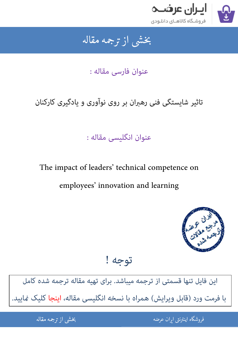

### بخشى از ترجمه مقاله شی از تر بخشی از :

عنوان فارسی مقاله :

# تاثیر شایستگی فنی رهبران بر روی نوآوری و یادگیری کارکنان

### عنوان انگلیسی مقاله :

# The impact of leaders' technical competence on employees' innovation and learning



## توجه !

[این فایل تنها قسمتی از ترجمه میباشد. برای تهیه مقاله ترجمه شده کامل](http://iranarze.ir/leaders+technical+competence+employees+innovation+learning)  با فرمت ورد (قابل ویرایش) همراه با نسخه انگلیسی مقاله، اینجا کلیک غایید.

> .<br>ه الموضوع الموضوع الموضوع الموضوع الموضوع الموضوع الموضوع الموضوع الموضوع الموضوع الموضوع الموضوع الموضوع المو ֧֚֚֚֚֚֚֚֚֚֚֚֚֚֚֚֚֚֚֚֚֚֚֚֚֬֡֡֡֡֡֡֡֡֡֡֬֝֝֓֡֡֬ فروشگاه اینترنتی ایر

ان عرضه مقاله از ترجمه مقاله استخدام استخدام العامل العامل العامل العامل العامل العامل العامل العامل العامل ال